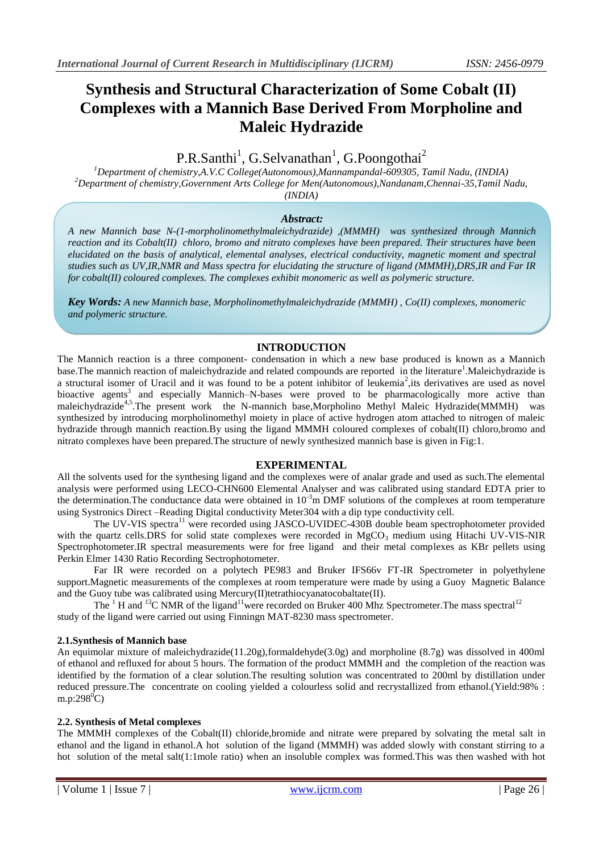# **Synthesis and Structural Characterization of Some Cobalt (II) Complexes with a Mannich Base Derived From Morpholine and Maleic Hydrazide**

# P.R.Santhi<sup>1</sup>, G.Selvanathan<sup>1</sup>, G.Poongothai<sup>2</sup>

*<sup>1</sup>Department of chemistry,A.V.C College(Autonomous),Mannampandal-609305, Tamil Nadu, (INDIA) <sup>2</sup>Department of chemistry,Government Arts College for Men(Autonomous),Nandanam,Chennai-35,Tamil Nadu, (INDIA)*

## *Abstract:*

*A new Mannich base N-(1-morpholinomethylmaleichydrazide) ,(MMMH) was synthesized through Mannich reaction and its Cobalt(II) chloro, bromo and nitrato complexes have been prepared. Their structures have been elucidated on the basis of analytical, elemental analyses, electrical conductivity, magnetic moment and spectral studies such as UV,IR,NMR and Mass spectra for elucidating the structure of ligand (MMMH),DRS,IR and Far IR for cobalt(II) coloured complexes. The complexes exhibit monomeric as well as polymeric structure.* 

*Key Words: A new Mannich base, Morpholinomethylmaleichydrazide (MMMH) , Co(II) complexes, monomeric and polymeric structure.*

# **INTRODUCTION**

The Mannich reaction is a three component- condensation in which a new base produced is known as a Mannich base. The mannich reaction of maleichydrazide and related compounds are reported in the literature<sup>1</sup>. Maleichydrazide is a structural isomer of Uracil and it was found to be a potent inhibitor of leukemia<sup>2</sup>, its derivatives are used as novel bioactive agents<sup>3</sup> and especially Mannich–N-bases were proved to be pharmacologically more active than maleichydrazide<sup>4,5</sup>.The present work the N-mannich base,Morpholino Methyl Maleic Hydrazide(MMMH) was synthesized by introducing morpholinomethyl moiety in place of active hydrogen atom attached to nitrogen of maleic hydrazide through mannich reaction.By using the ligand MMMH coloured complexes of cobalt(II) chloro,bromo and nitrato complexes have been prepared.The structure of newly synthesized mannich base is given in Fig:1.

#### **EXPERIMENTAL**

All the solvents used for the synthesing ligand and the complexes were of analar grade and used as such.The elemental analysis were performed using LECO-CHN600 Elemental Analyser and was calibrated using standard EDTA prier to the determination. The conductance data were obtained in  $10^{-3}$ m DMF solutions of the complexes at room temperature using Systronics Direct –Reading Digital conductivity Meter304 with a dip type conductivity cell.

The UV-VIS spectra<sup>11</sup> were recorded using JASCO-UVIDEC-430B double beam spectrophotometer provided with the quartz cells.DRS for solid state complexes were recorded in MgCO<sub>3</sub> medium using Hitachi UV-VIS-NIR Spectrophotometer.IR spectral measurements were for free ligand and their metal complexes as KBr pellets using Perkin Elmer 1430 Ratio Recording Sectrophotometer.

Far IR were recorded on a polytech PE983 and Bruker IFS66v FT-IR Spectrometer in polyethylene support.Magnetic measurements of the complexes at room temperature were made by using a Guoy Magnetic Balance and the Guoy tube was calibrated using Mercury(II)tetrathiocyanatocobaltate(II).

The  $1$ <sup>1</sup> H and <sup>13</sup>C NMR of the ligand<sup>11</sup> were recorded on Bruker 400 Mhz Spectrometer. The mass spectral<sup>12</sup> study of the ligand were carried out using Finningn MAT-8230 mass spectrometer.

#### **2.1.Synthesis of Mannich base**

An equimolar mixture of maleichydrazide(11.20g),formaldehyde(3.0g) and morpholine (8.7g) was dissolved in 400ml of ethanol and refluxed for about 5 hours. The formation of the product MMMH and the completion of the reaction was identified by the formation of a clear solution.The resulting solution was concentrated to 200ml by distillation under reduced pressure.The concentrate on cooling yielded a colourless solid and recrystallized from ethanol.(Yield:98% : m.p:298 $^{0}$ C)

#### **2.2. Synthesis of Metal complexes**

The MMMH complexes of the Cobalt(II) chloride,bromide and nitrate were prepared by solvating the metal salt in ethanol and the ligand in ethanol.A hot solution of the ligand (MMMH) was added slowly with constant stirring to a hot solution of the metal salt(1:1mole ratio) when an insoluble complex was formed.This was then washed with hot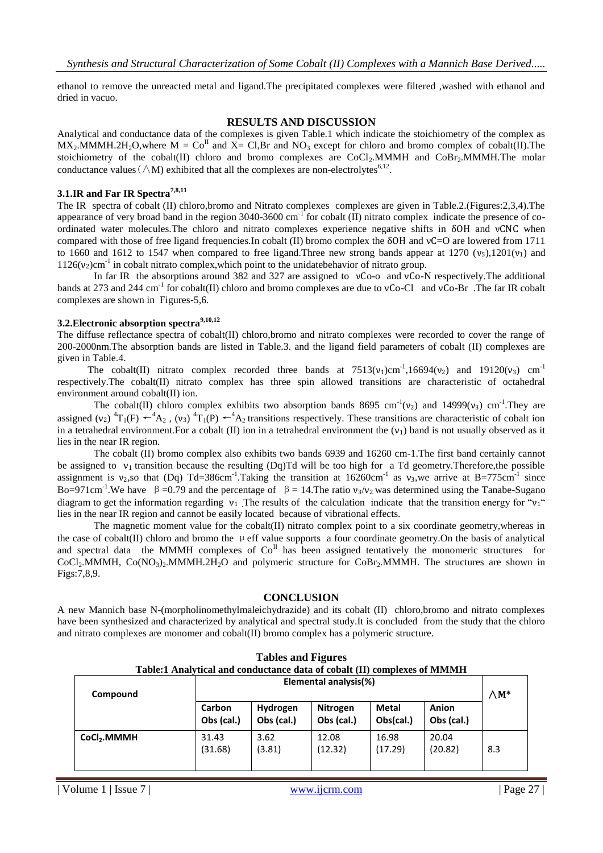ethanol to remove the unreacted metal and ligand.The precipitated complexes were filtered ,washed with ethanol and dried in vacuo.

#### **RESULTS AND DISCUSSION**

Analytical and conductance data of the complexes is given Table.1 which indicate the stoichiometry of the complex as  $MX_2.MMMH.2H_2O,$  where  $M = Co<sup>H</sup>$  and  $X = Cl, Br$  and  $NO_3$  except for chloro and bromo complex of cobalt(II). The stoichiometry of the cobalt(II) chloro and bromo complexes are CoCl<sub>2</sub>.MMMH and CoBr<sub>2</sub>.MMMH.The molar conductance values  $(\wedge M)$  exhibited that all the complexes are non-electrolytes<sup>6,12</sup>.

#### **3.1.IR and Far IR Spectra7,8,11**

The IR spectra of cobalt (II) chloro,bromo and Nitrato complexes complexes are given in Table.2.(Figures:2,3,4).The appearance of very broad band in the region  $3040$ -3600 cm<sup>-1</sup> for cobalt (II) nitrato complex indicate the presence of coordinated water molecules.The chloro and nitrato complexes experience negative shifts in δOH and νCNC when compared with those of free ligand frequencies.In cobalt (II) bromo complex the δOH and νC=O are lowered from 1711 to 1660 and 1612 to 1547 when compared to free ligand. Three new strong bands appear at 1270  $(v_5)$ , 1201 $(v_1)$  and  $1126(v<sub>2</sub>)cm<sup>-1</sup>$  in cobalt nitrato complex, which point to the unidatebehavior of nitrato group.

In far IR the absorptions around 382 and 327 are assigned to νCo-o and νCo-N respectively.The additional bands at 273 and 244 cm<sup>-1</sup> for cobalt(II) chloro and bromo complexes are due to  $vCo-Cl$  and  $vCo-Br$ . The far IR cobalt complexes are shown in Figures-5,6.

## **3.2.Electronic absorption spectra9,10,12**

The diffuse reflectance spectra of cobalt(II) chloro,bromo and nitrato complexes were recorded to cover the range of 200-2000nm.The absorption bands are listed in Table.3. and the ligand field parameters of cobalt (II) complexes are given in Table.4.

The cobalt(II) nitrato complex recorded three bands at  $7513(v_1)cm^{-1}$ , 16694(v<sub>2</sub>) and 19120(v<sub>3</sub>) cm<sup>-1</sup> respectively.The cobalt(II) nitrato complex has three spin allowed transitions are characteristic of octahedral environment around cobalt(II) ion.

The cobalt(II) chloro complex exhibits two absorption bands 8695 cm<sup>-1</sup>( $v_2$ ) and 14999( $v_3$ ) cm<sup>-1</sup>. They are assigned (v<sub>2</sub>) <sup>4</sup>T<sub>1</sub>(F)  $\leftarrow$ <sup>4</sup>A<sub>2</sub>, (v<sub>3</sub>) <sup>4</sup>T<sub>1</sub>(P)  $\leftarrow$ <sup>4</sup>A<sub>2</sub> transitions respectively. These transitions are characteristic of cobalt ion in a tetrahedral environment. For a cobalt (II) ion in a tetrahedral environment the  $(v_1)$  band is not usually observed as it lies in the near IR region.

The cobalt (II) bromo complex also exhibits two bands 6939 and 16260 cm-1.The first band certainly cannot be assigned to  $v_1$  transition because the resulting (Dq)Td will be too high for a Td geometry. Therefore, the possible assignment is  $v_2$ , so that (Dq) Td=386cm<sup>-1</sup>. Taking the transition at 16260cm<sup>-1</sup> as  $v_3$ , we arrive at B=775cm<sup>-1</sup> since Bo=971cm<sup>-1</sup>. We have  $\beta$  =0.79 and the percentage of  $\beta$  = 14. The ratio  $v_3/v_2$  was determined using the Tanabe-Sugano diagram to get the information regarding  $v_1$ . The results of the calculation indicate that the transition energy for " $v_1$ " lies in the near IR region and cannot be easily located because of vibrational effects.

The magnetic moment value for the cobalt(II) nitrato complex point to a six coordinate geometry, whereas in the case of cobalt(II) chloro and bromo the  $\mu$  eff value supports a four coordinate geometry. On the basis of analytical and spectral data the MMMH complexes of  $Co<sup>H</sup>$  has been assigned tentatively the monomeric structures for  $CoCl<sub>2</sub>$ MMMH,  $Co(NO<sub>3</sub>)<sub>2</sub>$ MMMH.2H<sub>2</sub>O and polymeric structure for  $CoBr<sub>2</sub>$ MMMH. The structures are shown in Figs:7,8,9.

#### **CONCLUSION**

A new Mannich base N-(morpholinomethylmaleichydrazide) and its cobalt (II) chloro,bromo and nitrato complexes have been synthesized and characterized by analytical and spectral study.It is concluded from the study that the chloro and nitrato complexes are monomer and cobalt(II) bromo complex has a polymeric structure.

| Table:1 Analytical and conductance data of cobalt (II) complexes of MMMH |                      |                        |                        |                           |                     |     |
|--------------------------------------------------------------------------|----------------------|------------------------|------------------------|---------------------------|---------------------|-----|
| Compound                                                                 |                      | $\wedge$ M*            |                        |                           |                     |     |
|                                                                          | Carbon<br>Obs (cal.) | Hydrogen<br>Obs (cal.) | Nitrogen<br>Obs (cal.) | <b>Metal</b><br>Obs(cal.) | Anion<br>Obs (cal.) |     |
| CoCl <sub>2</sub> .MMMH                                                  | 31.43<br>(31.68)     | 3.62<br>(3.81)         | 12.08<br>(12.32)       | 16.98<br>(17.29)          | 20.04<br>(20.82)    | 8.3 |

# **Tables and Figures**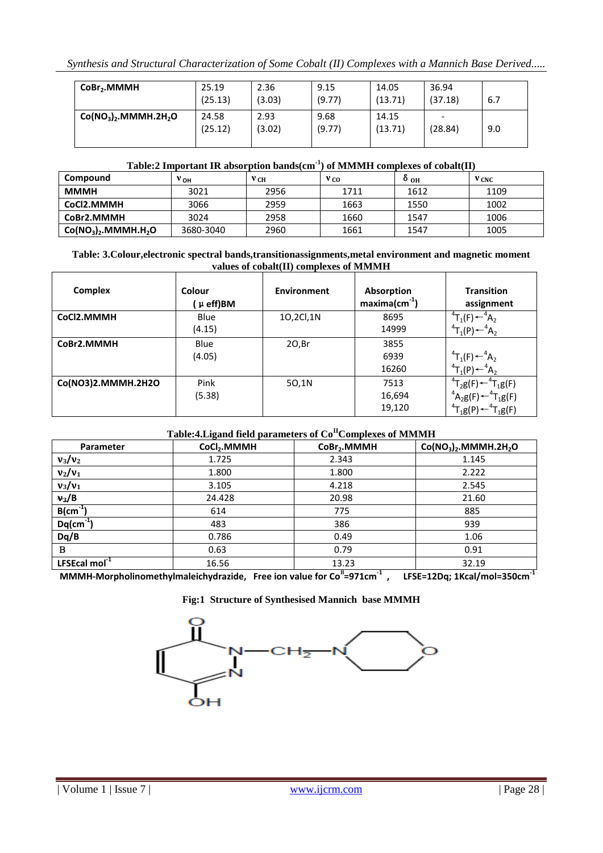*Synthesis and Structural Characterization of Some Cobalt (II) Complexes with a Mannich Base Derived.....*

| CoBr <sub>2</sub> .MMMH            | 25.19<br>(25.13) | 2.36<br>(3.03) | 9.15<br>(9.77) | 14.05<br>(13.71) | 36.94<br>(37.18) | 6.7 |
|------------------------------------|------------------|----------------|----------------|------------------|------------------|-----|
| $Co(NO3)2$ .MMMH.2H <sub>2</sub> O | 24.58<br>(25.12) | 2.93<br>(3.02) | 9.68<br>(9.77) | 14.15<br>(13.71) | -<br>(28.84)     | 9.0 |

## **Table:2 Important IR absorption bands(cm-1 ) of MMMH complexes of cobalt(II)**

| Compound            | $v_{\text{OH}}$ | У СН | V CO | $^{0}$ OH | V CNC |
|---------------------|-----------------|------|------|-----------|-------|
| <b>MMMH</b>         | 3021            | 2956 | 1711 | 1612      | 1109  |
| CoCl2.MMMH          | 3066            | 2959 | 1663 | 1550      | 1002  |
| CoBr2.MMMH          | 3024            | 2958 | 1660 | 1547      | 1006  |
| $Co(NO3)2.MMMH.H2O$ | 3680-3040       | 2960 | 1661 | 1547      | 1005  |

#### **Table: 3.Colour,electronic spectral bands,transitionassignments,metal environment and magnetic moment values of cobalt(II) complexes of MMMH**

| <b>Complex</b>     | Colour<br>$\mu$ eff)BM | Environment | <b>Absorption</b><br>$maxima(cm-1)$ | <b>Transition</b><br>assignment                  |
|--------------------|------------------------|-------------|-------------------------------------|--------------------------------------------------|
| CoCl2.MMMH         | Blue                   | 10,2Cl,1N   | 8695                                | ${}^{4}T_{1}(F) \leftarrow {}^{4}A_{2}$          |
|                    | (4.15)                 |             | 14999                               | ${}^{4}T_{1}(P) \leftarrow {}^{4}A_{2}$          |
| CoBr2.MMMH         | Blue                   | 20,Br       | 3855                                |                                                  |
|                    | (4.05)                 |             | 6939                                | $T_1(F) \leftarrow A_2$                          |
|                    |                        |             | 16260                               | ${}^{4}T_{1}(P)$ $\leftarrow {}^{4}A_{2}$        |
| Co(NO3)2.MMMH.2H2O | Pink                   | 50,1N       | 7513                                | ${}^{4}T_{2}g(F)$ $\leftarrow$ ${}^{4}T_{1}g(F)$ |
|                    | (5.38)                 |             | 16,694                              | ${}^{4}A_{2}g(F) \leftarrow {}^{4}T_{1}g(F)$     |
|                    |                        |             | 19,120                              | ${}^{4}T_{1}g(P) \leftarrow {}^{4}T_{1}g(F)$     |

# **Table:4.Ligand field parameters of CoIIComplexes of MMMH**

| Parameter                          | $\mathbf{\sigma}$<br>CoCl <sub>2</sub> .MMMH | CoBr <sub>2</sub> .MMMH | $Co(NO3)2$ .MMMH.2H <sub>2</sub> O |
|------------------------------------|----------------------------------------------|-------------------------|------------------------------------|
| $v_3/v_2$                          | 1.725                                        | 2.343                   | 1.145                              |
| $v_2/v_1$                          | 1.800                                        | 1.800                   | 2.222                              |
| $v_3/v_1$                          | 3.105                                        | 4.218                   | 2.545                              |
| $v_3/B$                            | 24.428                                       | 20.98                   | 21.60                              |
| $\overline{B}$ (cm <sup>-1</sup> ) | 614                                          | 775                     | 885                                |
| $Dq$ (cm <sup>-1</sup>             | 483                                          | 386                     | 939                                |
| Dq/B                               | 0.786                                        | 0.49                    | 1.06                               |
| B                                  | 0.63                                         | 0.79                    | 0.91                               |
| LFSEcal mol <sup>-1</sup>          | 16.56                                        | 13.23                   | 32.19                              |

**MMMH-Morpholinomethylmaleichydrazide, Free ion value for CoII=971cm-1 , LFSE=12Dq; 1Kcal/mol=350cm-1**

**Fig:1 Structure of Synthesised Mannich base MMMH**



 $\overline{\phantom{0}}$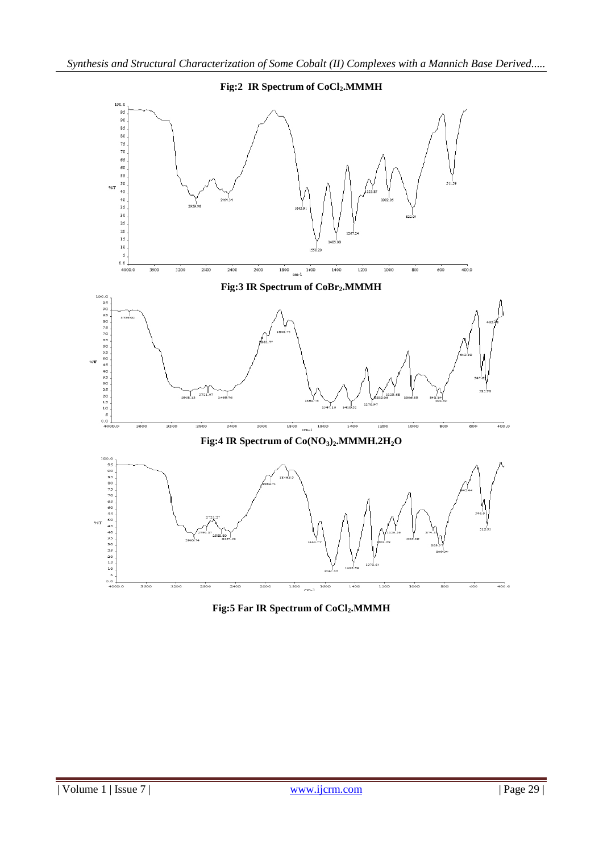

**Fig:5 Far IR Spectrum of CoCl2.MMMH**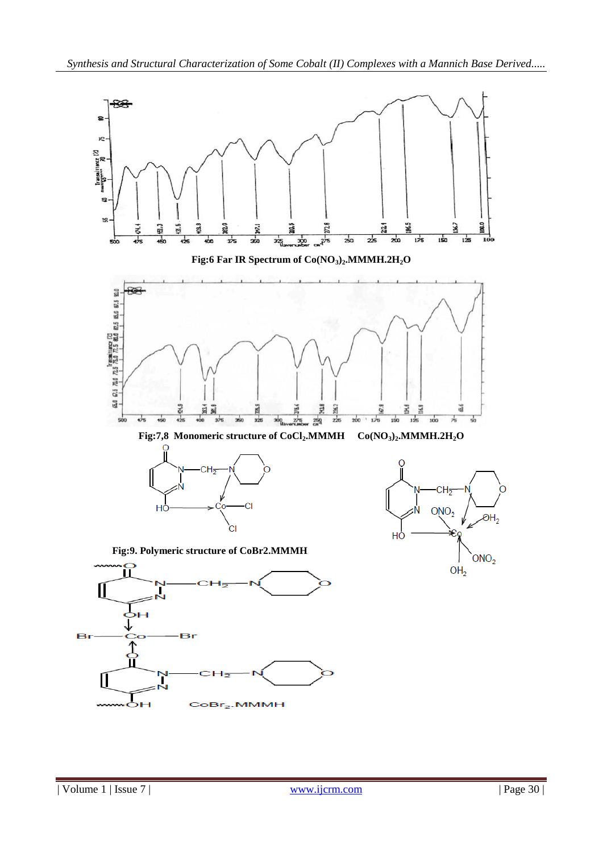